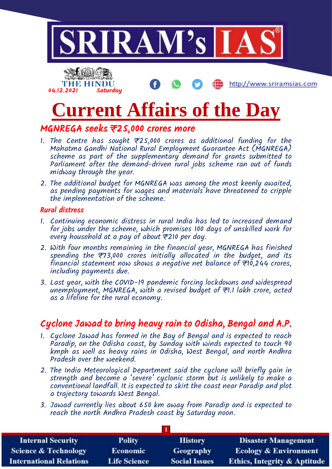



http://www.sriramsias.com

# **Current Affairs of the Day**

## MGNREGA seeks ₹25,000 crores more

- 1. The Centre has sought  $\overline{z}$ 25,000 crores as additional funding for the Mahatma Gandhi National Rural Employment Guarantee Act (MGNREGA) scheme as part of the supplementary demand for grants submitted to Parliament after the demand-driven rural jobs scheme ran out of funds midway through the year.
- 2. The additional budget for MGNREGA was among the most keenly awaited, as pending payments for wages and materials have threatened to cripple the implementation of the scheme.

#### Rural distress

- 1. Continuing economic distress in rural India has led to increased demand for jobs under the scheme, which promises 100 days of unskilled work for every household at a pay of about  $\bar{\tau}$ 210 per day.
- 2. With four months remaining in the financial year, MGNREGA has finished spending the ₹73,000 crores initially allocated in the budget, and its financial statement now shows a negative net balance of  $\overline{\tau}$ 10,244 crores, including payments due.
- 3. Last year, with the COVID-19 pandemic forcing lockdowns and widespread unemployment, MGNREGA, with a revised budget of ₹1.1 lakh crore, acted as a lifeline for the rural economy.

## Cyclone Jawad to bring heavy rain to Odisha, Bengal and A.P.

- 1. Cyclone Jawad has formed in the Bay of Bengal and is expected to reach Paradip, on the Odisha coast, by Sunday with winds expected to touch 90 kmph as well as heavy rains in Odisha, West Bengal, and north Andhra Pradesh over the weekend.
- 2. The India Meteorological Department said the cyclone will briefly gain in strength and become a 'severe' cyclonic storm but is unlikely to make a conventional landfall. It is expected to skirt the coast near Paradip and plot a trajectory towards West Bengal.
- 3. Jawad currently lies about 650 km away from Paradip and is expected to reach the north Andhra Pradesh coast by Saturday noon.

| <b>Internal Security</b>        | <b>Polity</b>       | <b>History</b>       | <b>Disaster Management</b>              |  |
|---------------------------------|---------------------|----------------------|-----------------------------------------|--|
| <b>Science &amp; Technology</b> | <b>Economic</b>     | Geography            | <b>Ecology &amp; Environment</b>        |  |
| <b>International Relations</b>  | <b>Life Science</b> | <b>Social Issues</b> | <b>Ethics, Integrity &amp; Aptitude</b> |  |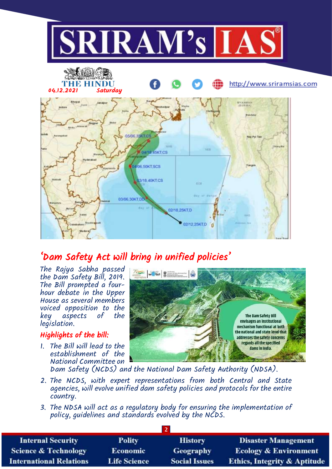

# 'Dam Safety Act will bring in unified policies'

The Rajya Sabha passed the Dam Safety Bill, 2019. The Bill prompted a fourhour debate in the Upper House as several members voiced opposition to the key aspects of the legislation.

### Highlights of the bill:

1. The Bill will lead to the establishment of the National Committee on  $\frac{1}{2}$  when  $\frac{1}{2}$   $\frac{1}{2}$   $\frac{1}{2}$ The Dam Safety Bill envisages an institutional mechanism functional at both the national and state level that addresses the safety concerns regards all the specified dams in India

Dam Safety (NCDS) and the National Dam Safety Authority (NDSA).

- 2. The NCDS, with expert representations from both Central and State agencies, will evolve unified dam safety policies and protocols for the entire country.
- 3. The NDSA will act as a regulatory body for ensuring the implementation of policy, guidelines and standards evolved by the NCDS.

| <b>Internal Security</b>        | <b>Polity</b>       | <b>History</b>       | <b>Disaster Management</b>              |  |
|---------------------------------|---------------------|----------------------|-----------------------------------------|--|
| <b>Science &amp; Technology</b> | <b>Economic</b>     | <b>Geography</b>     | <b>Ecology &amp; Environment</b>        |  |
| <b>International Relations</b>  | <b>Life Science</b> | <b>Social Issues</b> | <b>Ethics, Integrity &amp; Aptitude</b> |  |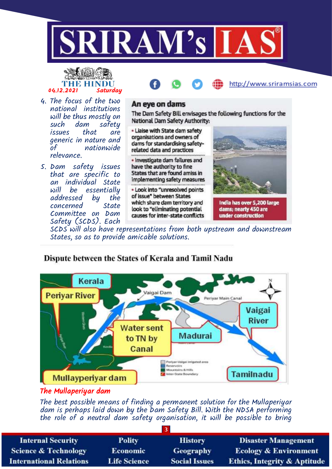

# THE HINDU 04.12.2021 Saturday



- 4. The focus of the two national institutions will be thus mostly on<br>such dam safetu safety issues that are generic in nature and nationwide relevance.
- 5. Dam safety issues that are specific to an individual State will be essentially<br>addressed by the addressed concerned State Committee on Dam Safety (SCDS). Each

#### An eye on dams

The Dam Safety Bill envisages the following functions for the National Dam Safety Authority:

. Liaise with State dam safety organisations and owners of dams for standardising safetyrelated data and practices

. Investigate dam failures and have the authority to fine States that are found amiss in implementing safety measures

. Look into "unresolved points of issue" between States which share dam territory and look to "eliminating potential causes for inter-state conflicts



India has over 5,200 large dams; nearty 450 are under construction

SCDS will also have representations from both upstream and downstream States, so as to provide amicable solutions.



## Dispute between the States of Kerala and Tamil Nadu

## The Mullaperiyar dam

The best possible means of finding a permanent solution for the Mullaperiyar dam is perhaps laid down by the Dam Safety Bill. With the NDSA performing the role of a neutral dam safety organisation, it will be possible to bring

| <b>Internal Security</b>        | <b>Polity</b>       | <b>History</b>       | <b>Disaster Management</b>              |
|---------------------------------|---------------------|----------------------|-----------------------------------------|
| <b>Science &amp; Technology</b> | <b>Economic</b>     | <b>Geography</b>     | <b>Ecology &amp; Environment</b>        |
| <b>International Relations</b>  | <b>Life Science</b> | <b>Social Issues</b> | <b>Ethics, Integrity &amp; Aptitude</b> |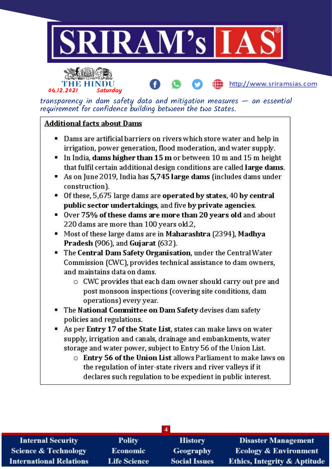



transparency in dam safety data and mitigation measures  $-$  an essential requirement for confidence building between the two States.

http://www.sriramsias.com

#### **Additional facts about Dams**

- " Dams are artificial barriers on rivers which store water and help in irrigation, power generation, flood moderation, and water supply.
- In India, dams higher than  $15 \text{ m}$  or between  $10 \text{ m}$  and  $15 \text{ m}$  height that fulfil certain additional design conditions are called large dams.
- As on June 2019, India has 5,745 large dams (includes dams under construction).
- Of these, 5,675 large dams are operated by states, 40 by central public sector undertakings, and five by private agencies.
- Over 75% of these dams are more than 20 years old and about 220 dams are more than 100 years old.2,
- Most of these large dams are in Maharashtra (2394), Madhya Pradesh (906), and Gujarat (632).
- " The Central Dam Safety Organisation, under the Central Water Commission (CWC), provides technical assistance to dam owners, and maintains data on dams.
	- O CWC provides that each dam owner should carry out pre and post monsoon inspections (covering site conditions, dam operations) every year.
- " The National Committee on Dam Safety devises dam safety policies and regulations.
- As per Entry 17 of the State List, states can make laws on water supply, irrigation and canals, drainage and embankments, water storage and water power, subject to Entry 56 of the Union List.
	- $\circ$  Entry 56 of the Union List allows Parliament to make laws on the regulation of inter-state rivers and river valleys if it declares such regulation to be expedient in public interest.

| $\overline{4}$                  |                     |                      |                                         |
|---------------------------------|---------------------|----------------------|-----------------------------------------|
| <b>Internal Security</b>        | <b>Polity</b>       | <b>History</b>       | <b>Disaster Management</b>              |
| <b>Science &amp; Technology</b> | <b>Economic</b>     | Geography            | <b>Ecology &amp; Environment</b>        |
| <b>International Relations</b>  | <b>Life Science</b> | <b>Social Issues</b> | <b>Ethics, Integrity &amp; Aptitude</b> |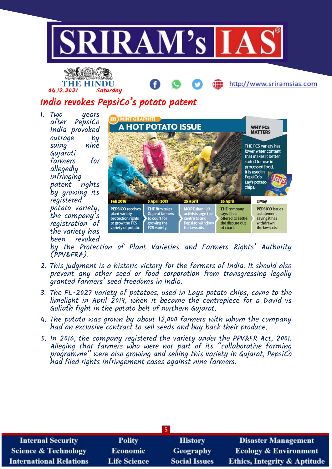



## India revokes PepsiCo's potato patent

1. Two years after PepsiCo India provoked outrage by suing nine Gujarati farmers for allegedly infringing patent rights by growing its registered potato variety, the company's registration of the variety has been revoked



http://www.sriramsias.com

by the Protection of Plant Varieties and Farmers Rights' Authority (PPV&FRA).

- 2. This judgment is a historic victory for the farmers of India. It should also prevent any other seed or food corporation from transgressing legally granted farmers' seed freedoms in India.
- 3. The FL-2027 variety of potatoes, used in Lays potato chips, came to the limelight in April 2019, when it became the centrepiece for a David vs Goliath fight in the potato belt of northern Gujarat.
- 4. The potato was grown by about 12,000 farmers with whom the company had an exclusive contract to sell seeds and buy back their produce.
- 5. In 2016, the company registered the variety under the PPV&FR Act, 2001. Alleging that farmers who were not part of its "collaborative farming programme" were also growing and selling this variety in Gujarat, PepsiCo had filed rights infringement cases against nine farmers.

| $\vert$ 5                       |                     |                      |                                         |
|---------------------------------|---------------------|----------------------|-----------------------------------------|
| <b>Internal Security</b>        | <b>Polity</b>       | <b>History</b>       | <b>Disaster Management</b>              |
| <b>Science &amp; Technology</b> | <b>Economic</b>     | <b>Geography</b>     | <b>Ecology &amp; Environment</b>        |
| <b>International Relations</b>  | <b>Life Science</b> | <b>Social Issues</b> | <b>Ethics, Integrity &amp; Aptitude</b> |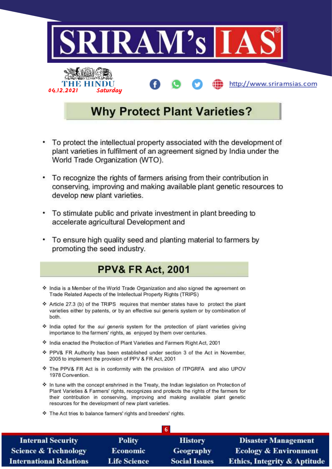

- To protect the intellectual property associated with the development of plant varieties in fulfilment of an agreement signed by India under the World Trade Organization (WTO).
- To recognize the rights of farmers arising from their contribution in conserving, improving and making available plant genetic resources to develop new plant varieties.
- To stimulate public and private investment in plant breeding to ٠ accelerate agricultural Development and
- To ensure high quality seed and planting material to farmers by promoting the seed industry.

## **PPV& FR Act, 2001**

- India is a Member of the World Trade Organization and also signed the agreement on Trade Related Aspects of the Intellectual Property Rights (TRIPS)
- ❖ Article 27.3 (b) of the TRIPS requires that member states have to protect the plant varieties either by patents, or by an effective sui generis system or by combination of both.
- India opted for the sui generis system for the protection of plant varieties giving importance to the farmers' rights, as enjoyed by them over centuries.
- \* India enacted the Protection of Plant Varieties and Farmers Right Act, 2001
- ❖ PPV& FR Authority has been established under section 3 of the Act in November, 2005 to implement the provision of PPV & FR Act, 2001
- \* The PPV& FR Act is in conformity with the provision of ITPGRFA and also UPOV 1978 Convention.
- ♦ In tune with the concept enshrined in the Treaty, the Indian legislation on Protection of Plant Varieties & Farmers' rights, recognizes and protects the rights of the farmers for their contribution in conserving, improving and making available plant genetic resources for the development of new plant varieties.
- The Act tries to balance farmers' rights and breeders' rights.

| <b>Internal Security</b>        | Polity              | <b>History</b>       | <b>Disaster Management</b>              |
|---------------------------------|---------------------|----------------------|-----------------------------------------|
| <b>Science &amp; Technology</b> | <b>Economic</b>     | <b>Geography</b>     | <b>Ecology &amp; Environment</b>        |
| <b>International Relations</b>  | <b>Life Science</b> | <b>Social Issues</b> | <b>Ethics, Integrity &amp; Aptitude</b> |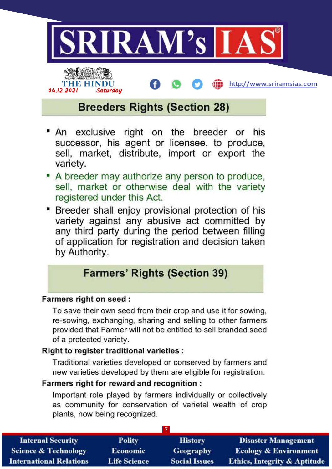



http://www.sriramsias.com

# **Breeders Rights (Section 28)**

- exclusive right on the breeder or his ■ An successor, his agent or licensee, to produce, sell, market, distribute, import or export the variety.
- A breeder may authorize any person to produce, sell, market or otherwise deal with the variety registered under this Act.
- Breeder shall enjoy provisional protection of his variety against any abusive act committed by any third party during the period between filling of application for registration and decision taken by Authority.

## **Farmers' Rights (Section 39)**

## **Farmers right on seed:**

To save their own seed from their crop and use it for sowing, re-sowing, exchanging, sharing and selling to other farmers provided that Farmer will not be entitled to sell branded seed of a protected variety.

## Right to register traditional varieties :

Traditional varieties developed or conserved by farmers and new varieties developed by them are eligible for registration.

## Farmers right for reward and recognition :

Important role played by farmers individually or collectively as community for conservation of varietal wealth of crop plants, now being recognized.

| <b>Internal Security</b>        | <b>Polity</b>       | <b>History</b>       | <b>Disaster Management</b>              |
|---------------------------------|---------------------|----------------------|-----------------------------------------|
| <b>Science &amp; Technology</b> | Economic            | Geography            | <b>Ecology &amp; Environment</b>        |
| <b>International Relations</b>  | <b>Life Science</b> | <b>Social Issues</b> | <b>Ethics, Integrity &amp; Aptitude</b> |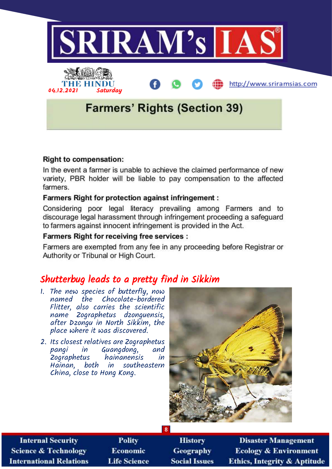

#### **Right to compensation:**

In the event a farmer is unable to achieve the claimed performance of new variety, PBR holder will be liable to pay compensation to the affected farmers.

#### **Farmers Right for protection against infringement:**

Considering poor legal literacy prevailing among Farmers and to discourage legal harassment through infringement proceeding a safeguard to farmers against innocent infringement is provided in the Act.

#### **Farmers Right for receiving free services:**

Farmers are exempted from any fee in any proceeding before Registrar or Authority or Tribunal or High Court.

## Shutterbug leads to a pretty find in Sikkim

- 1. The new species of butterfly, now named the Chocolate-bordered Flitter, also carries the scientific name Zographetus dzonguensis, after Dzongu in North Sikkim, the place where it was discovered.
- 2. Its closest relatives are Zographetus pangi in Guangdong,<br>Zooraphetus hainanensis Zographetus hainanensis in Hainan, both in southeastern China, close to Hong Kong.



| <b>Internal Security</b>        |
|---------------------------------|
| <b>Science &amp; Technology</b> |
| International Relations         |

- **Polity Economic Life Science**
- **History** Geography **Social Issues**
- **Disaster Management Ecology & Environment Ethics, Integrity & Aptitude**